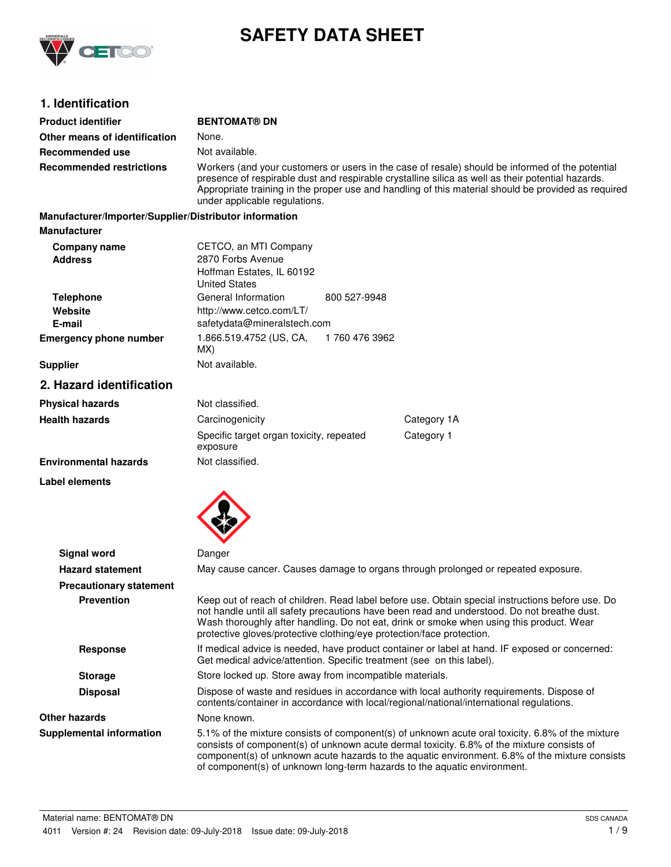

# **SAFETY DATA SHEET**

# **1. Identification**

| <b>Product identifier</b>                              | <b>BENTOMAT® DN</b>                                                                                                                                                                                                                                                                                                                          |                |                                                                                                                                                                                                                                                                                                                                                                              |
|--------------------------------------------------------|----------------------------------------------------------------------------------------------------------------------------------------------------------------------------------------------------------------------------------------------------------------------------------------------------------------------------------------------|----------------|------------------------------------------------------------------------------------------------------------------------------------------------------------------------------------------------------------------------------------------------------------------------------------------------------------------------------------------------------------------------------|
| Other means of identification                          | None.                                                                                                                                                                                                                                                                                                                                        |                |                                                                                                                                                                                                                                                                                                                                                                              |
| Recommended use                                        | Not available.                                                                                                                                                                                                                                                                                                                               |                |                                                                                                                                                                                                                                                                                                                                                                              |
| <b>Recommended restrictions</b>                        | Workers (and your customers or users in the case of resale) should be informed of the potential<br>presence of respirable dust and respirable crystalline silica as well as their potential hazards.<br>Appropriate training in the proper use and handling of this material should be provided as required<br>under applicable regulations. |                |                                                                                                                                                                                                                                                                                                                                                                              |
| Manufacturer/Importer/Supplier/Distributor information |                                                                                                                                                                                                                                                                                                                                              |                |                                                                                                                                                                                                                                                                                                                                                                              |
| <b>Manufacturer</b>                                    |                                                                                                                                                                                                                                                                                                                                              |                |                                                                                                                                                                                                                                                                                                                                                                              |
| Company name<br><b>Address</b>                         | CETCO, an MTI Company<br>2870 Forbs Avenue<br>Hoffman Estates, IL 60192<br><b>United States</b>                                                                                                                                                                                                                                              |                |                                                                                                                                                                                                                                                                                                                                                                              |
| <b>Telephone</b><br>Website<br>E-mail                  | General Information<br>http://www.cetco.com/LT/<br>safetydata@mineralstech.com                                                                                                                                                                                                                                                               | 800 527-9948   |                                                                                                                                                                                                                                                                                                                                                                              |
| <b>Emergency phone number</b>                          | 1.866.519.4752 (US, CA,<br>MX)                                                                                                                                                                                                                                                                                                               | 1 760 476 3962 |                                                                                                                                                                                                                                                                                                                                                                              |
| <b>Supplier</b>                                        | Not available.                                                                                                                                                                                                                                                                                                                               |                |                                                                                                                                                                                                                                                                                                                                                                              |
| 2. Hazard identification                               |                                                                                                                                                                                                                                                                                                                                              |                |                                                                                                                                                                                                                                                                                                                                                                              |
| <b>Physical hazards</b>                                | Not classified.                                                                                                                                                                                                                                                                                                                              |                |                                                                                                                                                                                                                                                                                                                                                                              |
| <b>Health hazards</b>                                  | Carcinogenicity                                                                                                                                                                                                                                                                                                                              |                | Category 1A                                                                                                                                                                                                                                                                                                                                                                  |
|                                                        | Specific target organ toxicity, repeated<br>exposure                                                                                                                                                                                                                                                                                         |                | Category 1                                                                                                                                                                                                                                                                                                                                                                   |
| <b>Environmental hazards</b>                           | Not classified.                                                                                                                                                                                                                                                                                                                              |                |                                                                                                                                                                                                                                                                                                                                                                              |
| Label elements                                         |                                                                                                                                                                                                                                                                                                                                              |                |                                                                                                                                                                                                                                                                                                                                                                              |
| <b>Signal word</b>                                     | Danger                                                                                                                                                                                                                                                                                                                                       |                |                                                                                                                                                                                                                                                                                                                                                                              |
| <b>Hazard statement</b>                                |                                                                                                                                                                                                                                                                                                                                              |                | May cause cancer. Causes damage to organs through prolonged or repeated exposure.                                                                                                                                                                                                                                                                                            |
| <b>Precautionary statement</b>                         |                                                                                                                                                                                                                                                                                                                                              |                |                                                                                                                                                                                                                                                                                                                                                                              |
| <b>Prevention</b>                                      | protective gloves/protective clothing/eye protection/face protection.                                                                                                                                                                                                                                                                        |                | Keep out of reach of children. Read label before use. Obtain special instructions before use. Do<br>not handle until all safety precautions have been read and understood. Do not breathe dust.<br>Wash thoroughly after handling. Do not eat, drink or smoke when using this product. Wear                                                                                  |
| <b>Response</b>                                        | If medical advice is needed, have product container or label at hand. IF exposed or concerned:<br>Get medical advice/attention. Specific treatment (see on this label).                                                                                                                                                                      |                |                                                                                                                                                                                                                                                                                                                                                                              |
| <b>Storage</b>                                         | Store locked up. Store away from incompatible materials.                                                                                                                                                                                                                                                                                     |                |                                                                                                                                                                                                                                                                                                                                                                              |
| <b>Disposal</b>                                        | Dispose of waste and residues in accordance with local authority requirements. Dispose of<br>contents/container in accordance with local/regional/national/international regulations.                                                                                                                                                        |                |                                                                                                                                                                                                                                                                                                                                                                              |
| <b>Other hazards</b>                                   | None known.                                                                                                                                                                                                                                                                                                                                  |                |                                                                                                                                                                                                                                                                                                                                                                              |
| <b>Supplemental information</b>                        |                                                                                                                                                                                                                                                                                                                                              |                | 5.1% of the mixture consists of component(s) of unknown acute oral toxicity. 6.8% of the mixture<br>consists of component(s) of unknown acute dermal toxicity. 6.8% of the mixture consists of<br>component(s) of unknown acute hazards to the aquatic environment. 6.8% of the mixture consists<br>of component(s) of unknown long-term hazards to the aquatic environment. |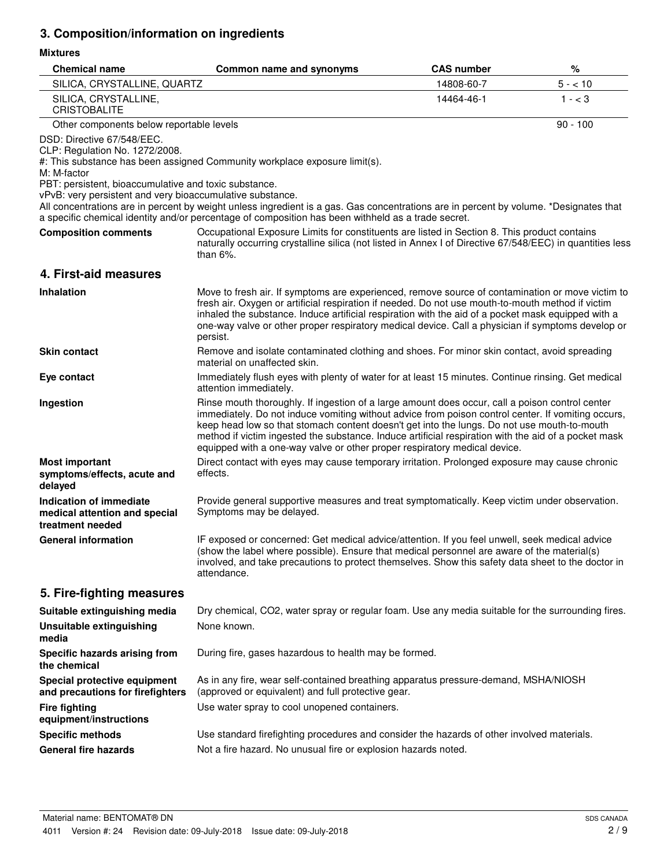# **3. Composition/information on ingredients**

### **Mixtures**

| <b>Chemical name</b>                                                                                                                                                                              | Common name and synonyms                                                                                                                                                                                                                                                                                                                                                                                                                                                                  | <b>CAS number</b> | %          |
|---------------------------------------------------------------------------------------------------------------------------------------------------------------------------------------------------|-------------------------------------------------------------------------------------------------------------------------------------------------------------------------------------------------------------------------------------------------------------------------------------------------------------------------------------------------------------------------------------------------------------------------------------------------------------------------------------------|-------------------|------------|
| SILICA, CRYSTALLINE, QUARTZ                                                                                                                                                                       |                                                                                                                                                                                                                                                                                                                                                                                                                                                                                           | 14808-60-7        | $5 - 10$   |
| SILICA, CRYSTALLINE,<br><b>CRISTOBALITE</b>                                                                                                                                                       |                                                                                                                                                                                                                                                                                                                                                                                                                                                                                           | 14464-46-1        | $1 - < 3$  |
| Other components below reportable levels                                                                                                                                                          |                                                                                                                                                                                                                                                                                                                                                                                                                                                                                           |                   | $90 - 100$ |
| DSD: Directive 67/548/EEC.<br>CLP: Regulation No. 1272/2008.<br>M: M-factor<br>PBT: persistent, bioaccumulative and toxic substance.<br>vPvB: very persistent and very bioaccumulative substance. | #: This substance has been assigned Community workplace exposure limit(s).                                                                                                                                                                                                                                                                                                                                                                                                                |                   |            |
|                                                                                                                                                                                                   | All concentrations are in percent by weight unless ingredient is a gas. Gas concentrations are in percent by volume. *Designates that<br>a specific chemical identity and/or percentage of composition has been withheld as a trade secret.                                                                                                                                                                                                                                               |                   |            |
| <b>Composition comments</b>                                                                                                                                                                       | Occupational Exposure Limits for constituents are listed in Section 8. This product contains<br>naturally occurring crystalline silica (not listed in Annex I of Directive 67/548/EEC) in quantities less<br>than $6\%$ .                                                                                                                                                                                                                                                                 |                   |            |
| 4. First-aid measures                                                                                                                                                                             |                                                                                                                                                                                                                                                                                                                                                                                                                                                                                           |                   |            |
| <b>Inhalation</b>                                                                                                                                                                                 | Move to fresh air. If symptoms are experienced, remove source of contamination or move victim to<br>fresh air. Oxygen or artificial respiration if needed. Do not use mouth-to-mouth method if victim<br>inhaled the substance. Induce artificial respiration with the aid of a pocket mask equipped with a<br>one-way valve or other proper respiratory medical device. Call a physician if symptoms develop or<br>persist.                                                              |                   |            |
| <b>Skin contact</b>                                                                                                                                                                               | Remove and isolate contaminated clothing and shoes. For minor skin contact, avoid spreading<br>material on unaffected skin.                                                                                                                                                                                                                                                                                                                                                               |                   |            |
| Eye contact                                                                                                                                                                                       | Immediately flush eyes with plenty of water for at least 15 minutes. Continue rinsing. Get medical<br>attention immediately.                                                                                                                                                                                                                                                                                                                                                              |                   |            |
| Ingestion                                                                                                                                                                                         | Rinse mouth thoroughly. If ingestion of a large amount does occur, call a poison control center<br>immediately. Do not induce vomiting without advice from poison control center. If vomiting occurs,<br>keep head low so that stomach content doesn't get into the lungs. Do not use mouth-to-mouth<br>method if victim ingested the substance. Induce artificial respiration with the aid of a pocket mask<br>equipped with a one-way valve or other proper respiratory medical device. |                   |            |
| <b>Most important</b><br>symptoms/effects, acute and<br>delayed                                                                                                                                   | Direct contact with eyes may cause temporary irritation. Prolonged exposure may cause chronic<br>effects.                                                                                                                                                                                                                                                                                                                                                                                 |                   |            |
| Indication of immediate<br>medical attention and special<br>treatment needed                                                                                                                      | Provide general supportive measures and treat symptomatically. Keep victim under observation.<br>Symptoms may be delayed.                                                                                                                                                                                                                                                                                                                                                                 |                   |            |
| <b>General information</b>                                                                                                                                                                        | IF exposed or concerned: Get medical advice/attention. If you feel unwell, seek medical advice<br>(show the label where possible). Ensure that medical personnel are aware of the material(s)<br>involved, and take precautions to protect themselves. Show this safety data sheet to the doctor in<br>attendance.                                                                                                                                                                        |                   |            |
| 5. Fire-fighting measures                                                                                                                                                                         |                                                                                                                                                                                                                                                                                                                                                                                                                                                                                           |                   |            |
| Suitable extinguishing media                                                                                                                                                                      | Dry chemical, CO2, water spray or regular foam. Use any media suitable for the surrounding fires.                                                                                                                                                                                                                                                                                                                                                                                         |                   |            |
| <b>Unsuitable extinguishing</b><br>media                                                                                                                                                          | None known.                                                                                                                                                                                                                                                                                                                                                                                                                                                                               |                   |            |
| Specific hazards arising from<br>the chemical                                                                                                                                                     | During fire, gases hazardous to health may be formed.                                                                                                                                                                                                                                                                                                                                                                                                                                     |                   |            |
| Special protective equipment<br>and precautions for firefighters                                                                                                                                  | As in any fire, wear self-contained breathing apparatus pressure-demand, MSHA/NIOSH<br>(approved or equivalent) and full protective gear.                                                                                                                                                                                                                                                                                                                                                 |                   |            |
| <b>Fire fighting</b><br>equipment/instructions                                                                                                                                                    | Use water spray to cool unopened containers.                                                                                                                                                                                                                                                                                                                                                                                                                                              |                   |            |
| <b>Specific methods</b>                                                                                                                                                                           | Use standard firefighting procedures and consider the hazards of other involved materials.                                                                                                                                                                                                                                                                                                                                                                                                |                   |            |
| <b>General fire hazards</b>                                                                                                                                                                       | Not a fire hazard. No unusual fire or explosion hazards noted.                                                                                                                                                                                                                                                                                                                                                                                                                            |                   |            |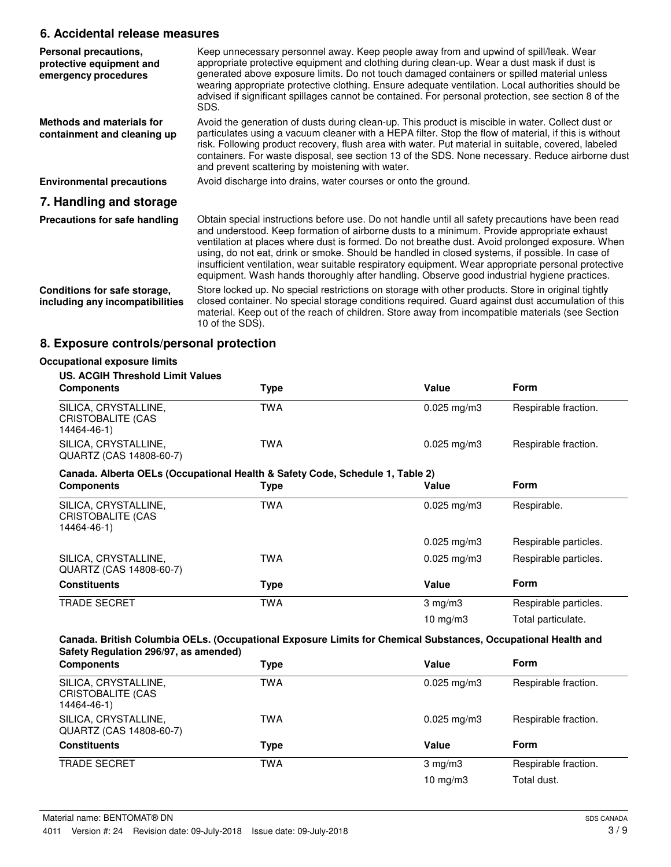### **6. Accidental release measures**

| Personal precautions,<br>protective equipment and<br>emergency procedures | Keep unnecessary personnel away. Keep people away from and upwind of spill/leak. Wear<br>appropriate protective equipment and clothing during clean-up. Wear a dust mask if dust is<br>generated above exposure limits. Do not touch damaged containers or spilled material unless<br>wearing appropriate protective clothing. Ensure adequate ventilation. Local authorities should be<br>advised if significant spillages cannot be contained. For personal protection, see section 8 of the<br>SDS.                                                                                                      |
|---------------------------------------------------------------------------|-------------------------------------------------------------------------------------------------------------------------------------------------------------------------------------------------------------------------------------------------------------------------------------------------------------------------------------------------------------------------------------------------------------------------------------------------------------------------------------------------------------------------------------------------------------------------------------------------------------|
| Methods and materials for<br>containment and cleaning up                  | Avoid the generation of dusts during clean-up. This product is miscible in water. Collect dust or<br>particulates using a vacuum cleaner with a HEPA filter. Stop the flow of material, if this is without<br>risk. Following product recovery, flush area with water. Put material in suitable, covered, labeled<br>containers. For waste disposal, see section 13 of the SDS. None necessary. Reduce airborne dust<br>and prevent scattering by moistening with water.                                                                                                                                    |
| <b>Environmental precautions</b>                                          | Avoid discharge into drains, water courses or onto the ground.                                                                                                                                                                                                                                                                                                                                                                                                                                                                                                                                              |
| 7. Handling and storage                                                   |                                                                                                                                                                                                                                                                                                                                                                                                                                                                                                                                                                                                             |
| Precautions for safe handling                                             | Obtain special instructions before use. Do not handle until all safety precautions have been read<br>and understood. Keep formation of airborne dusts to a minimum. Provide appropriate exhaust<br>ventilation at places where dust is formed. Do not breathe dust. Avoid prolonged exposure. When<br>using, do not eat, drink or smoke. Should be handled in closed systems, if possible. In case of<br>insufficient ventilation, wear suitable respiratory equipment. Wear appropriate personal protective<br>equipment. Wash hands thoroughly after handling. Observe good industrial hygiene practices. |
| Conditions for safe storage,<br>including any incompatibilities           | Store locked up. No special restrictions on storage with other products. Store in original tightly<br>closed container. No special storage conditions required. Guard against dust accumulation of this<br>material. Keep out of the reach of children. Store away from incompatible materials (see Section<br>10 of the SDS).                                                                                                                                                                                                                                                                              |

# **8. Exposure controls/personal protection**

| <b>US. ACGIH Threshold Limit Values</b>                                       |            |                         |                       |
|-------------------------------------------------------------------------------|------------|-------------------------|-----------------------|
| <b>Components</b>                                                             | Type       | Value                   | <b>Form</b>           |
| SILICA, CRYSTALLINE,<br><b>CRISTOBALITE (CAS</b><br>14464-46-1)               | <b>TWA</b> | $0.025$ mg/m3           | Respirable fraction.  |
| SILICA, CRYSTALLINE,<br>QUARTZ (CAS 14808-60-7)                               | <b>TWA</b> | $0.025 \,\mathrm{mg/m}$ | Respirable fraction.  |
| Canada. Alberta OELs (Occupational Health & Safety Code, Schedule 1, Table 2) |            |                         |                       |
| <b>Components</b>                                                             | Type       | Value                   | <b>Form</b>           |
| SILICA, CRYSTALLINE,<br>CRISTOBALITE (CAS<br>14464-46-1)                      | <b>TWA</b> | $0.025$ mg/m3           | Respirable.           |
|                                                                               |            | $0.025$ mg/m3           | Respirable particles. |
| SILICA, CRYSTALLINE,<br>QUARTZ (CAS 14808-60-7)                               | TWA        | $0.025 \,\mathrm{mg/m}$ | Respirable particles. |
| <b>Constituents</b>                                                           | Type       | Value                   | Form                  |
| <b>TRADE SECRET</b>                                                           | <b>TWA</b> | $3 \text{ mg/m}$        | Respirable particles. |
|                                                                               |            | 10 $mg/m3$              | Total particulate.    |

| <b>Components</b>                                               | <b>Type</b> | Value                   | Form                 |
|-----------------------------------------------------------------|-------------|-------------------------|----------------------|
| SILICA, CRYSTALLINE,<br><b>CRISTOBALITE (CAS</b><br>14464-46-1) | TWA         | $0.025$ mg/m3           | Respirable fraction. |
| SILICA, CRYSTALLINE,<br>QUARTZ (CAS 14808-60-7)                 | TWA         | $0.025 \,\mathrm{mg/m}$ | Respirable fraction. |
| <b>Constituents</b>                                             | Type        | Value                   | <b>Form</b>          |
| <b>TRADE SECRET</b>                                             | <b>TWA</b>  | $3$ mg/m $3$            | Respirable fraction. |
|                                                                 |             | 10 mg/m $3$             | Total dust.          |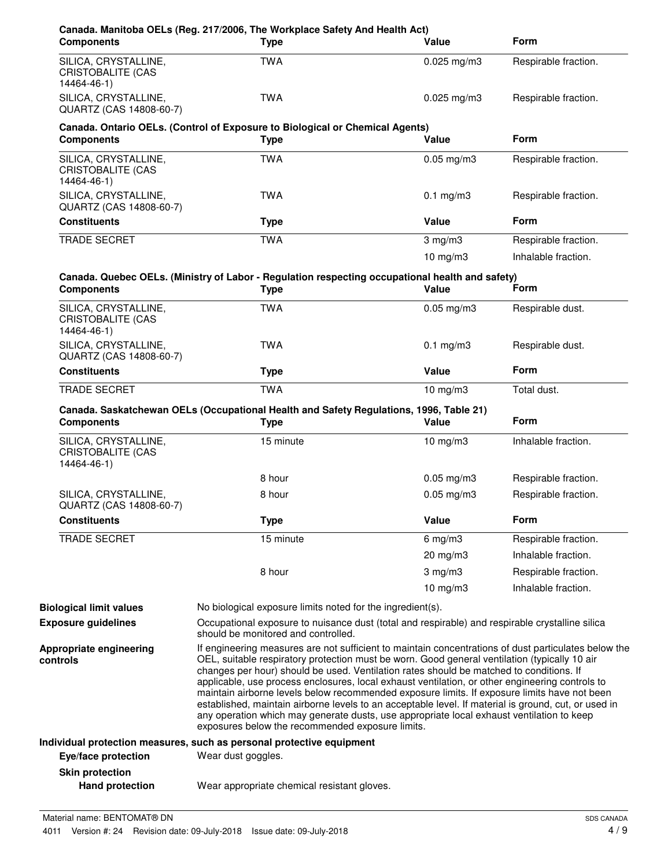| <b>Components</b>                                               | Canada. Manitoba OELs (Reg. 217/2006, The Workplace Safety And Health Act)<br><b>Type</b>                                                                                                                                                                                                                                                                                                                                                                                                                                                                                                                                                                                                                                                                    | Value           | <b>Form</b>          |
|-----------------------------------------------------------------|--------------------------------------------------------------------------------------------------------------------------------------------------------------------------------------------------------------------------------------------------------------------------------------------------------------------------------------------------------------------------------------------------------------------------------------------------------------------------------------------------------------------------------------------------------------------------------------------------------------------------------------------------------------------------------------------------------------------------------------------------------------|-----------------|----------------------|
| SILICA, CRYSTALLINE,<br>CRISTOBALITE (CAS<br>14464-46-1)        | <b>TWA</b>                                                                                                                                                                                                                                                                                                                                                                                                                                                                                                                                                                                                                                                                                                                                                   | $0.025$ mg/m3   | Respirable fraction. |
| SILICA, CRYSTALLINE,<br>QUARTZ (CAS 14808-60-7)                 | <b>TWA</b>                                                                                                                                                                                                                                                                                                                                                                                                                                                                                                                                                                                                                                                                                                                                                   | $0.025$ mg/m3   | Respirable fraction. |
| <b>Components</b>                                               | Canada. Ontario OELs. (Control of Exposure to Biological or Chemical Agents)<br><b>Type</b>                                                                                                                                                                                                                                                                                                                                                                                                                                                                                                                                                                                                                                                                  | Value           | <b>Form</b>          |
| SILICA, CRYSTALLINE,<br><b>CRISTOBALITE (CAS</b><br>14464-46-1) | <b>TWA</b>                                                                                                                                                                                                                                                                                                                                                                                                                                                                                                                                                                                                                                                                                                                                                   | $0.05$ mg/m $3$ | Respirable fraction. |
| SILICA, CRYSTALLINE,<br>QUARTZ (CAS 14808-60-7)                 | <b>TWA</b>                                                                                                                                                                                                                                                                                                                                                                                                                                                                                                                                                                                                                                                                                                                                                   | $0.1$ mg/m $3$  | Respirable fraction. |
| <b>Constituents</b>                                             | <b>Type</b>                                                                                                                                                                                                                                                                                                                                                                                                                                                                                                                                                                                                                                                                                                                                                  | Value           | <b>Form</b>          |
| <b>TRADE SECRET</b>                                             | <b>TWA</b>                                                                                                                                                                                                                                                                                                                                                                                                                                                                                                                                                                                                                                                                                                                                                   | $3$ mg/m $3$    | Respirable fraction. |
|                                                                 |                                                                                                                                                                                                                                                                                                                                                                                                                                                                                                                                                                                                                                                                                                                                                              | $10$ mg/m $3$   | Inhalable fraction.  |
| <b>Components</b>                                               | Canada. Quebec OELs. (Ministry of Labor - Regulation respecting occupational health and safety)<br><b>Type</b>                                                                                                                                                                                                                                                                                                                                                                                                                                                                                                                                                                                                                                               | Value           | Form                 |
| SILICA, CRYSTALLINE,<br><b>CRISTOBALITE (CAS</b><br>14464-46-1) | <b>TWA</b>                                                                                                                                                                                                                                                                                                                                                                                                                                                                                                                                                                                                                                                                                                                                                   | $0.05$ mg/m $3$ | Respirable dust.     |
| SILICA, CRYSTALLINE,<br>QUARTZ (CAS 14808-60-7)                 | <b>TWA</b>                                                                                                                                                                                                                                                                                                                                                                                                                                                                                                                                                                                                                                                                                                                                                   | $0.1$ mg/m $3$  | Respirable dust.     |
| <b>Constituents</b>                                             | <b>Type</b>                                                                                                                                                                                                                                                                                                                                                                                                                                                                                                                                                                                                                                                                                                                                                  | Value           | <b>Form</b>          |
| TRADE SECRET                                                    | <b>TWA</b>                                                                                                                                                                                                                                                                                                                                                                                                                                                                                                                                                                                                                                                                                                                                                   | $10$ mg/m $3$   | Total dust.          |
| <b>Components</b>                                               | Canada. Saskatchewan OELs (Occupational Health and Safety Regulations, 1996, Table 21)<br><b>Type</b>                                                                                                                                                                                                                                                                                                                                                                                                                                                                                                                                                                                                                                                        | Value           | <b>Form</b>          |
| SILICA, CRYSTALLINE,<br><b>CRISTOBALITE (CAS</b><br>14464-46-1) | 15 minute                                                                                                                                                                                                                                                                                                                                                                                                                                                                                                                                                                                                                                                                                                                                                    | $10$ mg/m $3$   | Inhalable fraction.  |
|                                                                 | 8 hour                                                                                                                                                                                                                                                                                                                                                                                                                                                                                                                                                                                                                                                                                                                                                       | $0.05$ mg/m3    | Respirable fraction. |
| SILICA, CRYSTALLINE,<br>QUARTZ (CAS 14808-60-7)                 | 8 hour                                                                                                                                                                                                                                                                                                                                                                                                                                                                                                                                                                                                                                                                                                                                                       | $0.05$ mg/m $3$ | Respirable fraction. |
| <b>Constituents</b>                                             | <b>Type</b>                                                                                                                                                                                                                                                                                                                                                                                                                                                                                                                                                                                                                                                                                                                                                  | Value           | Form                 |
| <b>TRADE SECRET</b>                                             | 15 minute                                                                                                                                                                                                                                                                                                                                                                                                                                                                                                                                                                                                                                                                                                                                                    | $6$ mg/m $3$    | Respirable fraction. |
|                                                                 |                                                                                                                                                                                                                                                                                                                                                                                                                                                                                                                                                                                                                                                                                                                                                              | 20 mg/m3        | Inhalable fraction.  |
|                                                                 | 8 hour                                                                                                                                                                                                                                                                                                                                                                                                                                                                                                                                                                                                                                                                                                                                                       | $3$ mg/m $3$    | Respirable fraction. |
|                                                                 |                                                                                                                                                                                                                                                                                                                                                                                                                                                                                                                                                                                                                                                                                                                                                              | 10 $mg/m3$      | Inhalable fraction.  |
| <b>Biological limit values</b>                                  | No biological exposure limits noted for the ingredient(s).                                                                                                                                                                                                                                                                                                                                                                                                                                                                                                                                                                                                                                                                                                   |                 |                      |
| <b>Exposure guidelines</b>                                      | Occupational exposure to nuisance dust (total and respirable) and respirable crystalline silica<br>should be monitored and controlled.                                                                                                                                                                                                                                                                                                                                                                                                                                                                                                                                                                                                                       |                 |                      |
| Appropriate engineering<br>controls                             | If engineering measures are not sufficient to maintain concentrations of dust particulates below the<br>OEL, suitable respiratory protection must be worn. Good general ventilation (typically 10 air<br>changes per hour) should be used. Ventilation rates should be matched to conditions. If<br>applicable, use process enclosures, local exhaust ventilation, or other engineering controls to<br>maintain airborne levels below recommended exposure limits. If exposure limits have not been<br>established, maintain airborne levels to an acceptable level. If material is ground, cut, or used in<br>any operation which may generate dusts, use appropriate local exhaust ventilation to keep<br>exposures below the recommended exposure limits. |                 |                      |
|                                                                 | Individual protection measures, such as personal protective equipment                                                                                                                                                                                                                                                                                                                                                                                                                                                                                                                                                                                                                                                                                        |                 |                      |
| Eye/face protection                                             | Wear dust goggles.                                                                                                                                                                                                                                                                                                                                                                                                                                                                                                                                                                                                                                                                                                                                           |                 |                      |
| <b>Skin protection</b>                                          |                                                                                                                                                                                                                                                                                                                                                                                                                                                                                                                                                                                                                                                                                                                                                              |                 |                      |
| <b>Hand protection</b>                                          | Wear appropriate chemical resistant gloves.                                                                                                                                                                                                                                                                                                                                                                                                                                                                                                                                                                                                                                                                                                                  |                 |                      |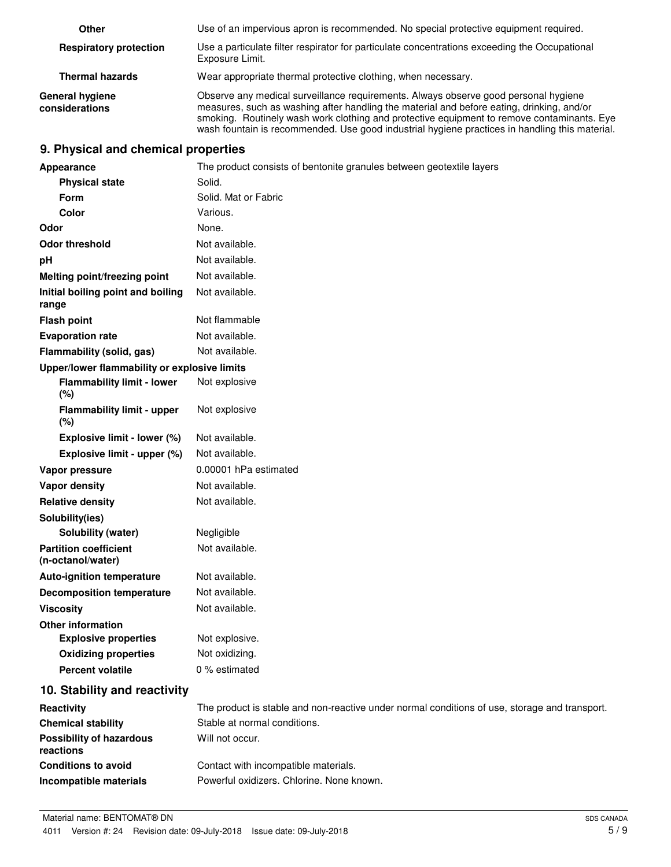| Other                                    | Use of an impervious apron is recommended. No special protective equipment required.                                                                                                                                                                                                                                                                                             |
|------------------------------------------|----------------------------------------------------------------------------------------------------------------------------------------------------------------------------------------------------------------------------------------------------------------------------------------------------------------------------------------------------------------------------------|
| <b>Respiratory protection</b>            | Use a particulate filter respirator for particulate concentrations exceeding the Occupational<br>Exposure Limit.                                                                                                                                                                                                                                                                 |
| <b>Thermal hazards</b>                   | Wear appropriate thermal protective clothing, when necessary.                                                                                                                                                                                                                                                                                                                    |
| <b>General hygiene</b><br>considerations | Observe any medical surveillance requirements. Always observe good personal hygiene<br>measures, such as washing after handling the material and before eating, drinking, and/or<br>smoking. Routinely wash work clothing and protective equipment to remove contaminants. Eye<br>wash fountain is recommended. Use good industrial hygiene practices in handling this material. |

### **9. Physical and chemical properties**

| Appearance                                        | The product consists of bentonite granules between geotextile layers                          |
|---------------------------------------------------|-----------------------------------------------------------------------------------------------|
| <b>Physical state</b>                             | Solid.                                                                                        |
| Form                                              | Solid. Mat or Fabric                                                                          |
| Color                                             | Various.                                                                                      |
| Odor                                              | None.                                                                                         |
| <b>Odor threshold</b>                             | Not available.                                                                                |
| pH                                                | Not available.                                                                                |
| Melting point/freezing point                      | Not available.                                                                                |
| Initial boiling point and boiling<br>range        | Not available.                                                                                |
| <b>Flash point</b>                                | Not flammable                                                                                 |
| <b>Evaporation rate</b>                           | Not available.                                                                                |
| Flammability (solid, gas)                         | Not available.                                                                                |
| Upper/lower flammability or explosive limits      |                                                                                               |
| <b>Flammability limit - lower</b><br>(%)          | Not explosive                                                                                 |
| <b>Flammability limit - upper</b><br>(%)          | Not explosive                                                                                 |
| Explosive limit - lower (%)                       | Not available.                                                                                |
| Explosive limit - upper (%)                       | Not available.                                                                                |
| Vapor pressure                                    | 0.00001 hPa estimated                                                                         |
| Vapor density                                     | Not available.                                                                                |
| <b>Relative density</b>                           | Not available.                                                                                |
| Solubility(ies)                                   |                                                                                               |
| Solubility (water)                                | Negligible                                                                                    |
| <b>Partition coefficient</b><br>(n-octanol/water) | Not available.                                                                                |
| <b>Auto-ignition temperature</b>                  | Not available.                                                                                |
| <b>Decomposition temperature</b>                  | Not available.                                                                                |
| <b>Viscosity</b>                                  | Not available.                                                                                |
| <b>Other information</b>                          |                                                                                               |
| <b>Explosive properties</b>                       | Not explosive.                                                                                |
| <b>Oxidizing properties</b>                       | Not oxidizing.                                                                                |
| <b>Percent volatile</b>                           | 0 % estimated                                                                                 |
| 10. Stability and reactivity                      |                                                                                               |
| Reactivity                                        | The product is stable and non-reactive under normal conditions of use, storage and transport. |
| <b>Chemical stability</b>                         | Stable at normal conditions.                                                                  |
| <b>Possibility of hazardous</b><br>reactions      | Will not occur.                                                                               |
| <b>Conditions to avoid</b>                        | Contact with incompatible materials.                                                          |
| Incompatible materials                            | Powerful oxidizers. Chlorine. None known.                                                     |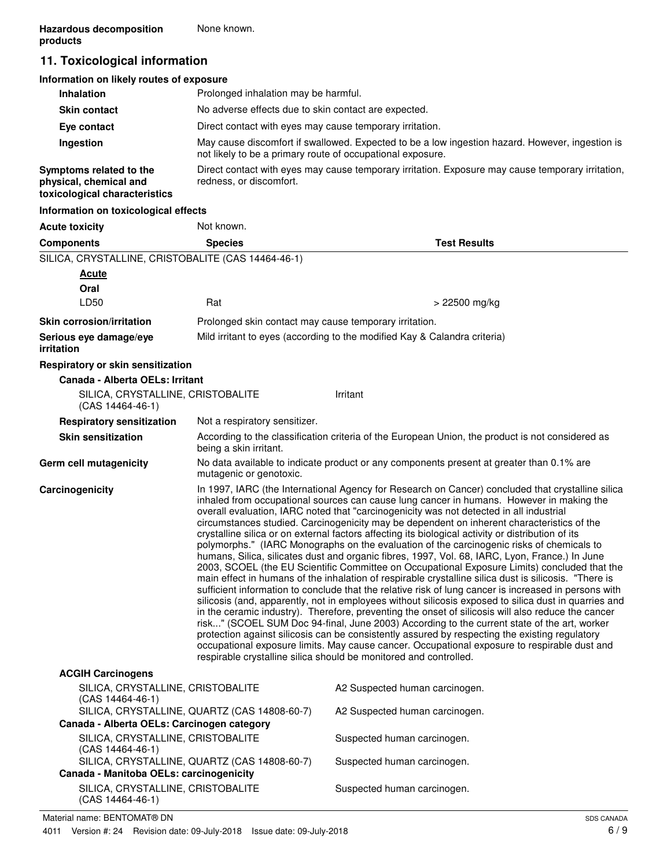# **11. Toxicological information**

| Information on likely routes of exposure                                           |                                                                                                                                                               |
|------------------------------------------------------------------------------------|---------------------------------------------------------------------------------------------------------------------------------------------------------------|
| <b>Inhalation</b>                                                                  | Prolonged inhalation may be harmful.                                                                                                                          |
| <b>Skin contact</b>                                                                | No adverse effects due to skin contact are expected.                                                                                                          |
| Eye contact                                                                        | Direct contact with eyes may cause temporary irritation.                                                                                                      |
| Ingestion                                                                          | May cause discomfort if swallowed. Expected to be a low ingestion hazard. However, ingestion is<br>not likely to be a primary route of occupational exposure. |
| Symptoms related to the<br>physical, chemical and<br>toxicological characteristics | Direct contact with eyes may cause temporary irritation. Exposure may cause temporary irritation,<br>redness, or discomfort.                                  |
| Information on toxicological effects                                               |                                                                                                                                                               |

| <b>Acute toxicity</b>                                   | Not known.                                                                                                                                                                                                                                                                                                                                                                                                                                                                                                                                                                                                                                                                                                                                                                                                                                                                                                                                                                                                                                                                                                                                                                                                                                                                                                                                                                                                                                                                                                                                                                                         |                                                                                                  |
|---------------------------------------------------------|----------------------------------------------------------------------------------------------------------------------------------------------------------------------------------------------------------------------------------------------------------------------------------------------------------------------------------------------------------------------------------------------------------------------------------------------------------------------------------------------------------------------------------------------------------------------------------------------------------------------------------------------------------------------------------------------------------------------------------------------------------------------------------------------------------------------------------------------------------------------------------------------------------------------------------------------------------------------------------------------------------------------------------------------------------------------------------------------------------------------------------------------------------------------------------------------------------------------------------------------------------------------------------------------------------------------------------------------------------------------------------------------------------------------------------------------------------------------------------------------------------------------------------------------------------------------------------------------------|--------------------------------------------------------------------------------------------------|
| <b>Components</b>                                       | <b>Species</b>                                                                                                                                                                                                                                                                                                                                                                                                                                                                                                                                                                                                                                                                                                                                                                                                                                                                                                                                                                                                                                                                                                                                                                                                                                                                                                                                                                                                                                                                                                                                                                                     | <b>Test Results</b>                                                                              |
| SILICA, CRYSTALLINE, CRISTOBALITE (CAS 14464-46-1)      |                                                                                                                                                                                                                                                                                                                                                                                                                                                                                                                                                                                                                                                                                                                                                                                                                                                                                                                                                                                                                                                                                                                                                                                                                                                                                                                                                                                                                                                                                                                                                                                                    |                                                                                                  |
| <b>Acute</b>                                            |                                                                                                                                                                                                                                                                                                                                                                                                                                                                                                                                                                                                                                                                                                                                                                                                                                                                                                                                                                                                                                                                                                                                                                                                                                                                                                                                                                                                                                                                                                                                                                                                    |                                                                                                  |
| Oral                                                    |                                                                                                                                                                                                                                                                                                                                                                                                                                                                                                                                                                                                                                                                                                                                                                                                                                                                                                                                                                                                                                                                                                                                                                                                                                                                                                                                                                                                                                                                                                                                                                                                    |                                                                                                  |
| LD50                                                    | Rat                                                                                                                                                                                                                                                                                                                                                                                                                                                                                                                                                                                                                                                                                                                                                                                                                                                                                                                                                                                                                                                                                                                                                                                                                                                                                                                                                                                                                                                                                                                                                                                                | > 22500 mg/kg                                                                                    |
| <b>Skin corrosion/irritation</b>                        | Prolonged skin contact may cause temporary irritation.                                                                                                                                                                                                                                                                                                                                                                                                                                                                                                                                                                                                                                                                                                                                                                                                                                                                                                                                                                                                                                                                                                                                                                                                                                                                                                                                                                                                                                                                                                                                             |                                                                                                  |
| Serious eye damage/eye<br><i>irritation</i>             |                                                                                                                                                                                                                                                                                                                                                                                                                                                                                                                                                                                                                                                                                                                                                                                                                                                                                                                                                                                                                                                                                                                                                                                                                                                                                                                                                                                                                                                                                                                                                                                                    | Mild irritant to eyes (according to the modified Kay & Calandra criteria)                        |
| Respiratory or skin sensitization                       |                                                                                                                                                                                                                                                                                                                                                                                                                                                                                                                                                                                                                                                                                                                                                                                                                                                                                                                                                                                                                                                                                                                                                                                                                                                                                                                                                                                                                                                                                                                                                                                                    |                                                                                                  |
| Canada - Alberta OELs: Irritant                         |                                                                                                                                                                                                                                                                                                                                                                                                                                                                                                                                                                                                                                                                                                                                                                                                                                                                                                                                                                                                                                                                                                                                                                                                                                                                                                                                                                                                                                                                                                                                                                                                    |                                                                                                  |
| SILICA, CRYSTALLINE, CRISTOBALITE<br>$(CAS 14464-46-1)$ |                                                                                                                                                                                                                                                                                                                                                                                                                                                                                                                                                                                                                                                                                                                                                                                                                                                                                                                                                                                                                                                                                                                                                                                                                                                                                                                                                                                                                                                                                                                                                                                                    | Irritant                                                                                         |
| <b>Respiratory sensitization</b>                        | Not a respiratory sensitizer.                                                                                                                                                                                                                                                                                                                                                                                                                                                                                                                                                                                                                                                                                                                                                                                                                                                                                                                                                                                                                                                                                                                                                                                                                                                                                                                                                                                                                                                                                                                                                                      |                                                                                                  |
| <b>Skin sensitization</b>                               | being a skin irritant.                                                                                                                                                                                                                                                                                                                                                                                                                                                                                                                                                                                                                                                                                                                                                                                                                                                                                                                                                                                                                                                                                                                                                                                                                                                                                                                                                                                                                                                                                                                                                                             | According to the classification criteria of the European Union, the product is not considered as |
| Germ cell mutagenicity                                  | mutagenic or genotoxic.                                                                                                                                                                                                                                                                                                                                                                                                                                                                                                                                                                                                                                                                                                                                                                                                                                                                                                                                                                                                                                                                                                                                                                                                                                                                                                                                                                                                                                                                                                                                                                            | No data available to indicate product or any components present at greater than 0.1% are         |
| Carcinogenicity                                         | In 1997, IARC (the International Agency for Research on Cancer) concluded that crystalline silica<br>inhaled from occupational sources can cause lung cancer in humans. However in making the<br>overall evaluation, IARC noted that "carcinogenicity was not detected in all industrial<br>circumstances studied. Carcinogenicity may be dependent on inherent characteristics of the<br>crystalline silica or on external factors affecting its biological activity or distribution of its<br>polymorphs." (IARC Monographs on the evaluation of the carcinogenic risks of chemicals to<br>humans, Silica, silicates dust and organic fibres, 1997, Vol. 68, IARC, Lyon, France.) In June<br>2003, SCOEL (the EU Scientific Committee on Occupational Exposure Limits) concluded that the<br>main effect in humans of the inhalation of respirable crystalline silica dust is silicosis. "There is<br>sufficient information to conclude that the relative risk of lung cancer is increased in persons with<br>silicosis (and, apparently, not in employees without silicosis exposed to silica dust in quarries and<br>in the ceramic industry). Therefore, preventing the onset of silicosis will also reduce the cancer<br>risk" (SCOEL SUM Doc 94-final, June 2003) According to the current state of the art, worker<br>protection against silicosis can be consistently assured by respecting the existing regulatory<br>occupational exposure limits. May cause cancer. Occupational exposure to respirable dust and<br>respirable crystalline silica should be monitored and controlled. |                                                                                                  |
| <b>ACGIH Carcinogens</b>                                |                                                                                                                                                                                                                                                                                                                                                                                                                                                                                                                                                                                                                                                                                                                                                                                                                                                                                                                                                                                                                                                                                                                                                                                                                                                                                                                                                                                                                                                                                                                                                                                                    |                                                                                                  |
| SILICA, CRYSTALLINE, CRISTOBALITE<br>$(CAS 14464-46-1)$ |                                                                                                                                                                                                                                                                                                                                                                                                                                                                                                                                                                                                                                                                                                                                                                                                                                                                                                                                                                                                                                                                                                                                                                                                                                                                                                                                                                                                                                                                                                                                                                                                    | A2 Suspected human carcinogen.                                                                   |
| Canada - Alberta OELs: Carcinogen category              | SILICA, CRYSTALLINE, QUARTZ (CAS 14808-60-7)                                                                                                                                                                                                                                                                                                                                                                                                                                                                                                                                                                                                                                                                                                                                                                                                                                                                                                                                                                                                                                                                                                                                                                                                                                                                                                                                                                                                                                                                                                                                                       | A2 Suspected human carcinogen.                                                                   |
| SILICA, CRYSTALLINE, CRISTOBALITE                       |                                                                                                                                                                                                                                                                                                                                                                                                                                                                                                                                                                                                                                                                                                                                                                                                                                                                                                                                                                                                                                                                                                                                                                                                                                                                                                                                                                                                                                                                                                                                                                                                    | Suspected human carcinogen.                                                                      |
| $(CAS 14464-46-1)$                                      | SILICA, CRYSTALLINE, QUARTZ (CAS 14808-60-7)                                                                                                                                                                                                                                                                                                                                                                                                                                                                                                                                                                                                                                                                                                                                                                                                                                                                                                                                                                                                                                                                                                                                                                                                                                                                                                                                                                                                                                                                                                                                                       | Suspected human carcinogen.                                                                      |
| Canada - Manitoba OELs: carcinogenicity                 |                                                                                                                                                                                                                                                                                                                                                                                                                                                                                                                                                                                                                                                                                                                                                                                                                                                                                                                                                                                                                                                                                                                                                                                                                                                                                                                                                                                                                                                                                                                                                                                                    |                                                                                                  |
| SILICA, CRYSTALLINE, CRISTOBALITE                       |                                                                                                                                                                                                                                                                                                                                                                                                                                                                                                                                                                                                                                                                                                                                                                                                                                                                                                                                                                                                                                                                                                                                                                                                                                                                                                                                                                                                                                                                                                                                                                                                    | Suspected human carcinogen.                                                                      |

(CAS 14464-46-1)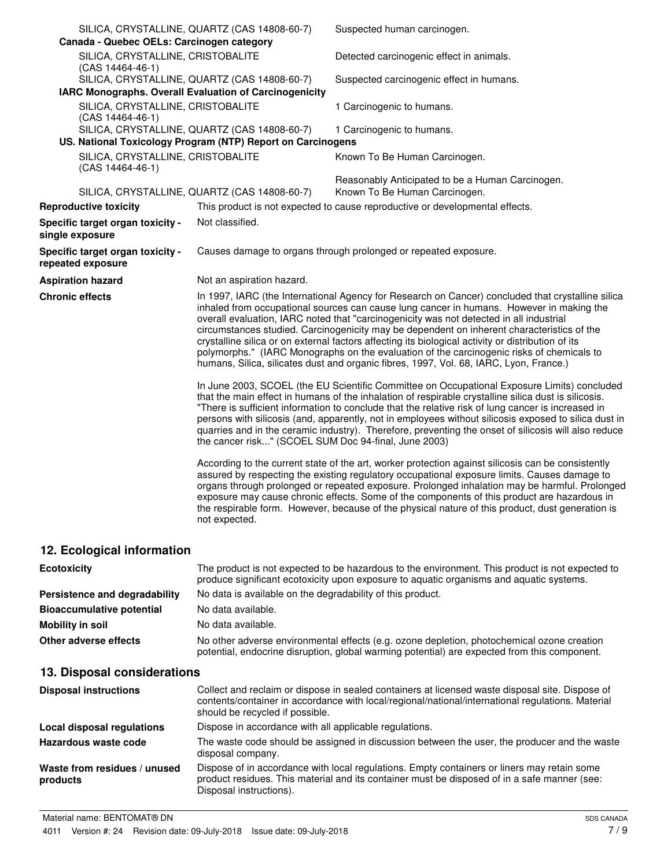| Canada - Quebec OELs: Carcinogen category              | SILICA, CRYSTALLINE, QUARTZ (CAS 14808-60-7)                                                                | Suspected human carcinogen.                                                                                                                                                                                                                                                                                                                                                                                                                                                                                                                                                                                                                                                         |
|--------------------------------------------------------|-------------------------------------------------------------------------------------------------------------|-------------------------------------------------------------------------------------------------------------------------------------------------------------------------------------------------------------------------------------------------------------------------------------------------------------------------------------------------------------------------------------------------------------------------------------------------------------------------------------------------------------------------------------------------------------------------------------------------------------------------------------------------------------------------------------|
| SILICA, CRYSTALLINE, CRISTOBALITE<br>(CAS 14464-46-1)  |                                                                                                             | Detected carcinogenic effect in animals.                                                                                                                                                                                                                                                                                                                                                                                                                                                                                                                                                                                                                                            |
|                                                        | SILICA, CRYSTALLINE, QUARTZ (CAS 14808-60-7)                                                                | Suspected carcinogenic effect in humans.                                                                                                                                                                                                                                                                                                                                                                                                                                                                                                                                                                                                                                            |
| IARC Monographs. Overall Evaluation of Carcinogenicity |                                                                                                             |                                                                                                                                                                                                                                                                                                                                                                                                                                                                                                                                                                                                                                                                                     |
| SILICA, CRYSTALLINE, CRISTOBALITE<br>(CAS 14464-46-1)  |                                                                                                             | 1 Carcinogenic to humans.                                                                                                                                                                                                                                                                                                                                                                                                                                                                                                                                                                                                                                                           |
|                                                        | SILICA, CRYSTALLINE, QUARTZ (CAS 14808-60-7)<br>US. National Toxicology Program (NTP) Report on Carcinogens | 1 Carcinogenic to humans.                                                                                                                                                                                                                                                                                                                                                                                                                                                                                                                                                                                                                                                           |
| SILICA, CRYSTALLINE, CRISTOBALITE<br>(CAS 14464-46-1)  |                                                                                                             | Known To Be Human Carcinogen.                                                                                                                                                                                                                                                                                                                                                                                                                                                                                                                                                                                                                                                       |
|                                                        | SILICA, CRYSTALLINE, QUARTZ (CAS 14808-60-7)                                                                | Reasonably Anticipated to be a Human Carcinogen.<br>Known To Be Human Carcinogen.                                                                                                                                                                                                                                                                                                                                                                                                                                                                                                                                                                                                   |
| <b>Reproductive toxicity</b>                           |                                                                                                             | This product is not expected to cause reproductive or developmental effects.                                                                                                                                                                                                                                                                                                                                                                                                                                                                                                                                                                                                        |
| Specific target organ toxicity -<br>single exposure    | Not classified.                                                                                             |                                                                                                                                                                                                                                                                                                                                                                                                                                                                                                                                                                                                                                                                                     |
| Specific target organ toxicity -<br>repeated exposure  |                                                                                                             | Causes damage to organs through prolonged or repeated exposure.                                                                                                                                                                                                                                                                                                                                                                                                                                                                                                                                                                                                                     |
| <b>Aspiration hazard</b>                               | Not an aspiration hazard.                                                                                   |                                                                                                                                                                                                                                                                                                                                                                                                                                                                                                                                                                                                                                                                                     |
| <b>Chronic effects</b>                                 |                                                                                                             | In 1997, IARC (the International Agency for Research on Cancer) concluded that crystalline silica<br>inhaled from occupational sources can cause lung cancer in humans. However in making the<br>overall evaluation, IARC noted that "carcinogenicity was not detected in all industrial<br>circumstances studied. Carcinogenicity may be dependent on inherent characteristics of the<br>crystalline silica or on external factors affecting its biological activity or distribution of its<br>polymorphs." (IARC Monographs on the evaluation of the carcinogenic risks of chemicals to<br>humans, Silica, silicates dust and organic fibres, 1997, Vol. 68, IARC, Lyon, France.) |
|                                                        | the cancer risk" (SCOEL SUM Doc 94-final, June 2003)                                                        | In June 2003, SCOEL (the EU Scientific Committee on Occupational Exposure Limits) concluded<br>that the main effect in humans of the inhalation of respirable crystalline silica dust is silicosis.<br>"There is sufficient information to conclude that the relative risk of lung cancer is increased in<br>persons with silicosis (and, apparently, not in employees without silicosis exposed to silica dust in<br>quarries and in the ceramic industry). Therefore, preventing the onset of silicosis will also reduce                                                                                                                                                          |
|                                                        | not expected.                                                                                               | According to the current state of the art, worker protection against silicosis can be consistently<br>assured by respecting the existing regulatory occupational exposure limits. Causes damage to<br>organs through prolonged or repeated exposure. Prolonged inhalation may be harmful. Prolonged<br>exposure may cause chronic effects. Some of the components of this product are hazardous in<br>the respirable form. However, because of the physical nature of this product, dust generation is                                                                                                                                                                              |
| 12. Ecological information                             |                                                                                                             |                                                                                                                                                                                                                                                                                                                                                                                                                                                                                                                                                                                                                                                                                     |

| <b>Ecotoxicity</b>               | The product is not expected to be hazardous to the environment. This product is not expected to<br>produce significant ecotoxicity upon exposure to aquatic organisms and aquatic systems. |
|----------------------------------|--------------------------------------------------------------------------------------------------------------------------------------------------------------------------------------------|
| Persistence and degradability    | No data is available on the degradability of this product.                                                                                                                                 |
| <b>Bioaccumulative potential</b> | No data available.                                                                                                                                                                         |
| Mobility in soil                 | No data available.                                                                                                                                                                         |
| Other adverse effects            | No other adverse environmental effects (e.g. ozone depletion, photochemical ozone creation<br>potential, endocrine disruption, global warming potential) are expected from this component. |

# **13. Disposal considerations**

| <b>Disposal instructions</b>             | Collect and reclaim or dispose in sealed containers at licensed waste disposal site. Dispose of<br>contents/container in accordance with local/regional/national/international regulations. Material<br>should be recycled if possible. |
|------------------------------------------|-----------------------------------------------------------------------------------------------------------------------------------------------------------------------------------------------------------------------------------------|
| Local disposal regulations               | Dispose in accordance with all applicable regulations.                                                                                                                                                                                  |
| Hazardous waste code                     | The waste code should be assigned in discussion between the user, the producer and the waste<br>disposal company.                                                                                                                       |
| Waste from residues / unused<br>products | Dispose of in accordance with local regulations. Empty containers or liners may retain some<br>product residues. This material and its container must be disposed of in a safe manner (see:<br>Disposal instructions).                  |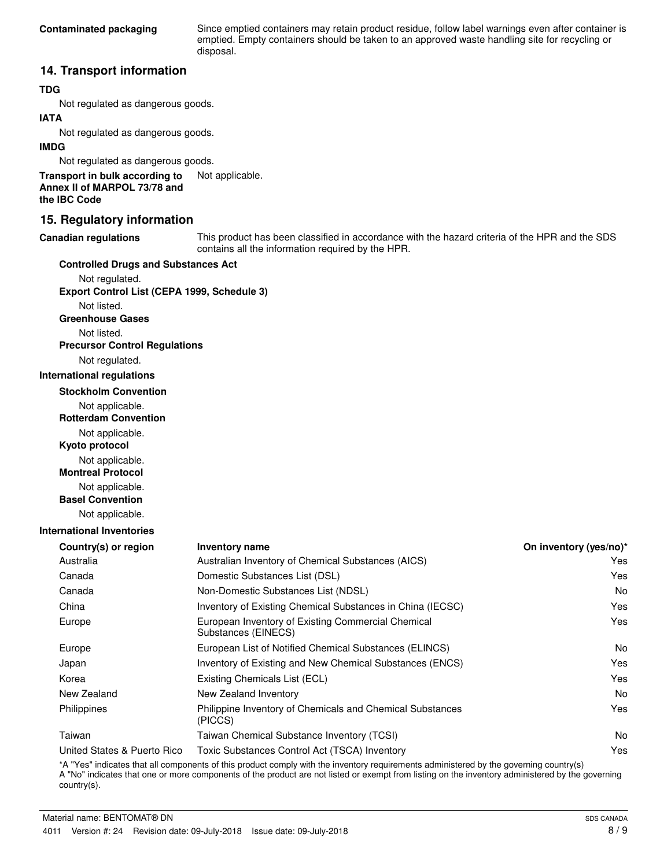Since emptied containers may retain product residue, follow label warnings even after container is emptied. Empty containers should be taken to an approved waste handling site for recycling or disposal.

### **14. Transport information**

#### **TDG**

Not regulated as dangerous goods.

#### **IATA**

Not regulated as dangerous goods.

#### **IMDG**

Not regulated as dangerous goods.

**Transport in bulk according to** Not applicable. **Annex II of MARPOL 73/78 and the IBC Code**

### **15. Regulatory information**

#### **Canadian regulations**

This product has been classified in accordance with the hazard criteria of the HPR and the SDS contains all the information required by the HPR.

#### **Controlled Drugs and Substances Act**

Not regulated. **Export Control List (CEPA 1999, Schedule 3)**

Not listed.

**Greenhouse Gases**

Not listed.

## **Precursor Control Regulations**

Not regulated.

#### **International regulations**

**Stockholm Convention**

- Not applicable.
- **Rotterdam Convention**

Not applicable.

**Kyoto protocol**

Not applicable.

**Montreal Protocol**

- Not applicable.
- **Basel Convention**

Not applicable.

#### **International Inventories**

| Country(s) or region        | <b>Inventory name</b>                                                     | On inventory (yes/no)* |
|-----------------------------|---------------------------------------------------------------------------|------------------------|
| Australia                   | Australian Inventory of Chemical Substances (AICS)                        | Yes                    |
| Canada                      | Domestic Substances List (DSL)                                            | Yes                    |
| Canada                      | Non-Domestic Substances List (NDSL)                                       | N <sub>o</sub>         |
| China                       | Inventory of Existing Chemical Substances in China (IECSC)                | Yes                    |
| Europe                      | European Inventory of Existing Commercial Chemical<br>Substances (EINECS) | Yes                    |
| Europe                      | European List of Notified Chemical Substances (ELINCS)                    | No.                    |
| Japan                       | Inventory of Existing and New Chemical Substances (ENCS)                  | Yes                    |
| Korea                       | Existing Chemicals List (ECL)                                             | Yes                    |
| New Zealand                 | New Zealand Inventory                                                     | N <sub>o</sub>         |
| Philippines                 | Philippine Inventory of Chemicals and Chemical Substances<br>(PICCS)      | Yes                    |
| Taiwan                      | Taiwan Chemical Substance Inventory (TCSI)                                | N <sub>o</sub>         |
| United States & Puerto Rico | Toxic Substances Control Act (TSCA) Inventory                             | Yes                    |

\*A "Yes" indicates that all components of this product comply with the inventory requirements administered by the governing country(s) A "No" indicates that one or more components of the product are not listed or exempt from listing on the inventory administered by the governing country(s).